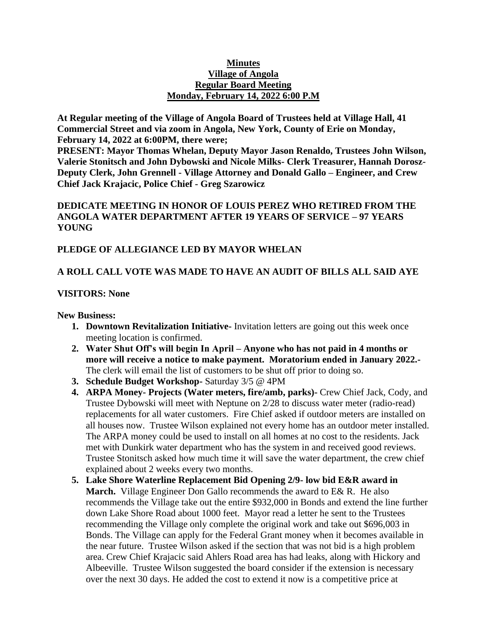#### **Minutes Village of Angola Regular Board Meeting Monday, February 14, 2022 6:00 P.M**

**At Regular meeting of the Village of Angola Board of Trustees held at Village Hall, 41 Commercial Street and via zoom in Angola, New York, County of Erie on Monday, February 14, 2022 at 6:00PM, there were;**

**PRESENT: Mayor Thomas Whelan, Deputy Mayor Jason Renaldo, Trustees John Wilson, Valerie Stonitsch and John Dybowski and Nicole Milks- Clerk Treasurer, Hannah Dorosz-Deputy Clerk, John Grennell - Village Attorney and Donald Gallo – Engineer, and Crew Chief Jack Krajacic, Police Chief - Greg Szarowicz**

### **DEDICATE MEETING IN HONOR OF LOUIS PEREZ WHO RETIRED FROM THE ANGOLA WATER DEPARTMENT AFTER 19 YEARS OF SERVICE – 97 YEARS YOUNG**

### **PLEDGE OF ALLEGIANCE LED BY MAYOR WHELAN**

### **A ROLL CALL VOTE WAS MADE TO HAVE AN AUDIT OF BILLS ALL SAID AYE**

### **VISITORS: None**

#### **New Business:**

- **1. Downtown Revitalization Initiative-** Invitation letters are going out this week once meeting location is confirmed.
- **2. Water Shut Off's will begin In April – Anyone who has not paid in 4 months or more will receive a notice to make payment. Moratorium ended in January 2022.-** The clerk will email the list of customers to be shut off prior to doing so.
- **3. Schedule Budget Workshop-** Saturday 3/5 @ 4PM
- **4. ARPA Money- Projects (Water meters, fire/amb, parks)-** Crew Chief Jack, Cody, and Trustee Dybowski will meet with Neptune on 2/28 to discuss water meter (radio-read) replacements for all water customers. Fire Chief asked if outdoor meters are installed on all houses now. Trustee Wilson explained not every home has an outdoor meter installed. The ARPA money could be used to install on all homes at no cost to the residents. Jack met with Dunkirk water department who has the system in and received good reviews. Trustee Stonitsch asked how much time it will save the water department, the crew chief explained about 2 weeks every two months.
- **5. Lake Shore Waterline Replacement Bid Opening 2/9- low bid E&R award in March.** Village Engineer Don Gallo recommends the award to E& R. He also recommends the Village take out the entire \$932,000 in Bonds and extend the line further down Lake Shore Road about 1000 feet. Mayor read a letter he sent to the Trustees recommending the Village only complete the original work and take out \$696,003 in Bonds. The Village can apply for the Federal Grant money when it becomes available in the near future. Trustee Wilson asked if the section that was not bid is a high problem area. Crew Chief Krajacic said Ahlers Road area has had leaks, along with Hickory and Albeeville. Trustee Wilson suggested the board consider if the extension is necessary over the next 30 days. He added the cost to extend it now is a competitive price at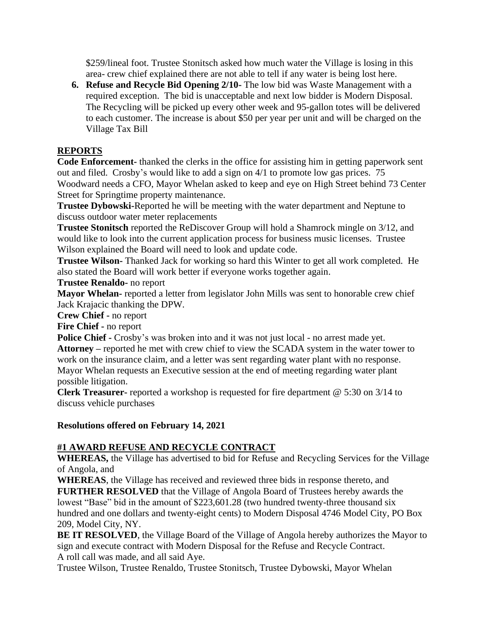\$259/lineal foot. Trustee Stonitsch asked how much water the Village is losing in this area- crew chief explained there are not able to tell if any water is being lost here.

**6. Refuse and Recycle Bid Opening 2/10-** The low bid was Waste Management with a required exception. The bid is unacceptable and next low bidder is Modern Disposal. The Recycling will be picked up every other week and 95-gallon totes will be delivered to each customer. The increase is about \$50 per year per unit and will be charged on the Village Tax Bill

### **REPORTS**

**Code Enforcement-** thanked the clerks in the office for assisting him in getting paperwork sent out and filed. Crosby's would like to add a sign on 4/1 to promote low gas prices. 75 Woodward needs a CFO, Mayor Whelan asked to keep and eye on High Street behind 73 Center Street for Springtime property maintenance.

**Trustee Dybowski-**Reported he will be meeting with the water department and Neptune to discuss outdoor water meter replacements

**Trustee Stonitsch** reported the ReDiscover Group will hold a Shamrock mingle on 3/12, and would like to look into the current application process for business music licenses. Trustee Wilson explained the Board will need to look and update code.

**Trustee Wilson-** Thanked Jack for working so hard this Winter to get all work completed. He also stated the Board will work better if everyone works together again.

#### **Trustee Renaldo-** no report

**Mayor Whelan-** reported a letter from legislator John Mills was sent to honorable crew chief Jack Krajacic thanking the DPW.

**Crew Chief -** no report

**Fire Chief -** no report

**Police Chief -** Crosby's was broken into and it was not just local - no arrest made yet. **Attorney –** reported he met with crew chief to view the SCADA system in the water tower to work on the insurance claim, and a letter was sent regarding water plant with no response. Mayor Whelan requests an Executive session at the end of meeting regarding water plant possible litigation.

**Clerk Treasurer-** reported a workshop is requested for fire department @ 5:30 on 3/14 to discuss vehicle purchases

### **Resolutions offered on February 14, 2021**

# **#1 AWARD REFUSE AND RECYCLE CONTRACT**

**WHEREAS,** the Village has advertised to bid for Refuse and Recycling Services for the Village of Angola, and

**WHEREAS**, the Village has received and reviewed three bids in response thereto, and **FURTHER RESOLVED** that the Village of Angola Board of Trustees hereby awards the lowest "Base" bid in the amount of \$223,601.28 (two hundred twenty-three thousand six hundred and one dollars and twenty-eight cents) to Modern Disposal 4746 Model City, PO Box 209, Model City, NY.

**BE IT RESOLVED**, the Village Board of the Village of Angola hereby authorizes the Mayor to sign and execute contract with Modern Disposal for the Refuse and Recycle Contract. A roll call was made, and all said Aye.

Trustee Wilson, Trustee Renaldo, Trustee Stonitsch, Trustee Dybowski, Mayor Whelan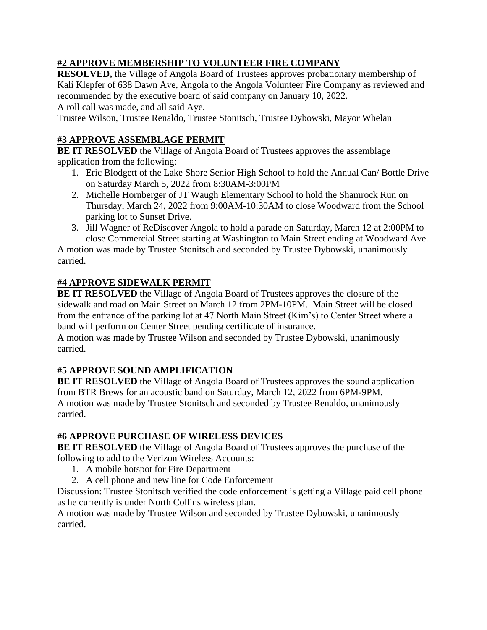# **#2 APPROVE MEMBERSHIP TO VOLUNTEER FIRE COMPANY**

**RESOLVED,** the Village of Angola Board of Trustees approves probationary membership of Kali Klepfer of 638 Dawn Ave, Angola to the Angola Volunteer Fire Company as reviewed and recommended by the executive board of said company on January 10, 2022.

A roll call was made, and all said Aye.

Trustee Wilson, Trustee Renaldo, Trustee Stonitsch, Trustee Dybowski, Mayor Whelan

# **#3 APPROVE ASSEMBLAGE PERMIT**

**BE IT RESOLVED** the Village of Angola Board of Trustees approves the assemblage application from the following:

- 1. Eric Blodgett of the Lake Shore Senior High School to hold the Annual Can/ Bottle Drive on Saturday March 5, 2022 from 8:30AM-3:00PM
- 2. Michelle Hornberger of JT Waugh Elementary School to hold the Shamrock Run on Thursday, March 24, 2022 from 9:00AM-10:30AM to close Woodward from the School parking lot to Sunset Drive.
- 3. Jill Wagner of ReDiscover Angola to hold a parade on Saturday, March 12 at 2:00PM to close Commercial Street starting at Washington to Main Street ending at Woodward Ave.

A motion was made by Trustee Stonitsch and seconded by Trustee Dybowski, unanimously carried.

# **#4 APPROVE SIDEWALK PERMIT**

**BE IT RESOLVED** the Village of Angola Board of Trustees approves the closure of the sidewalk and road on Main Street on March 12 from 2PM-10PM. Main Street will be closed from the entrance of the parking lot at 47 North Main Street (Kim's) to Center Street where a band will perform on Center Street pending certificate of insurance.

A motion was made by Trustee Wilson and seconded by Trustee Dybowski, unanimously carried.

# **#5 APPROVE SOUND AMPLIFICATION**

**BE IT RESOLVED** the Village of Angola Board of Trustees approves the sound application from BTR Brews for an acoustic band on Saturday, March 12, 2022 from 6PM-9PM. A motion was made by Trustee Stonitsch and seconded by Trustee Renaldo, unanimously carried.

# **#6 APPROVE PURCHASE OF WIRELESS DEVICES**

**BE IT RESOLVED** the Village of Angola Board of Trustees approves the purchase of the following to add to the Verizon Wireless Accounts:

- 1. A mobile hotspot for Fire Department
- 2. A cell phone and new line for Code Enforcement

Discussion: Trustee Stonitsch verified the code enforcement is getting a Village paid cell phone as he currently is under North Collins wireless plan.

A motion was made by Trustee Wilson and seconded by Trustee Dybowski, unanimously carried.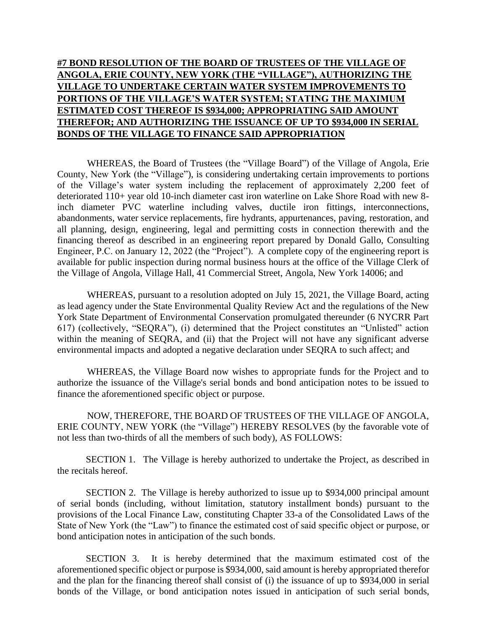# **#7 BOND RESOLUTION OF THE BOARD OF TRUSTEES OF THE VILLAGE OF ANGOLA, ERIE COUNTY, NEW YORK (THE "VILLAGE"), AUTHORIZING THE VILLAGE TO UNDERTAKE CERTAIN WATER SYSTEM IMPROVEMENTS TO PORTIONS OF THE VILLAGE'S WATER SYSTEM; STATING THE MAXIMUM ESTIMATED COST THEREOF IS \$934,000; APPROPRIATING SAID AMOUNT THEREFOR; AND AUTHORIZING THE ISSUANCE OF UP TO \$934,000 IN SERIAL BONDS OF THE VILLAGE TO FINANCE SAID APPROPRIATION**

WHEREAS, the Board of Trustees (the "Village Board") of the Village of Angola, Erie County, New York (the "Village"), is considering undertaking certain improvements to portions of the Village's water system including the replacement of approximately 2,200 feet of deteriorated 110+ year old 10-inch diameter cast iron waterline on Lake Shore Road with new 8 inch diameter PVC waterline including valves, ductile iron fittings, interconnections, abandonments, water service replacements, fire hydrants, appurtenances, paving, restoration, and all planning, design, engineering, legal and permitting costs in connection therewith and the financing thereof as described in an engineering report prepared by Donald Gallo, Consulting Engineer, P.C. on January 12, 2022 (the "Project"). A complete copy of the engineering report is available for public inspection during normal business hours at the office of the Village Clerk of the Village of Angola, Village Hall, 41 Commercial Street, Angola, New York 14006; and

WHEREAS, pursuant to a resolution adopted on July 15, 2021, the Village Board, acting as lead agency under the State Environmental Quality Review Act and the regulations of the New York State Department of Environmental Conservation promulgated thereunder (6 NYCRR Part 617) (collectively, "SEQRA"), (i) determined that the Project constitutes an "Unlisted" action within the meaning of SEQRA, and (ii) that the Project will not have any significant adverse environmental impacts and adopted a negative declaration under SEQRA to such affect; and

WHEREAS, the Village Board now wishes to appropriate funds for the Project and to authorize the issuance of the Village's serial bonds and bond anticipation notes to be issued to finance the aforementioned specific object or purpose.

NOW, THEREFORE, THE BOARD OF TRUSTEES OF THE VILLAGE OF ANGOLA, ERIE COUNTY, NEW YORK (the "Village") HEREBY RESOLVES (by the favorable vote of not less than two-thirds of all the members of such body), AS FOLLOWS:

SECTION 1. The Village is hereby authorized to undertake the Project, as described in the recitals hereof.

SECTION 2. The Village is hereby authorized to issue up to \$934,000 principal amount of serial bonds (including, without limitation, statutory installment bonds) pursuant to the provisions of the Local Finance Law, constituting Chapter 33-a of the Consolidated Laws of the State of New York (the "Law") to finance the estimated cost of said specific object or purpose, or bond anticipation notes in anticipation of the such bonds.

SECTION 3. It is hereby determined that the maximum estimated cost of the aforementioned specific object or purpose is \$934,000, said amount is hereby appropriated therefor and the plan for the financing thereof shall consist of (i) the issuance of up to \$934,000 in serial bonds of the Village, or bond anticipation notes issued in anticipation of such serial bonds,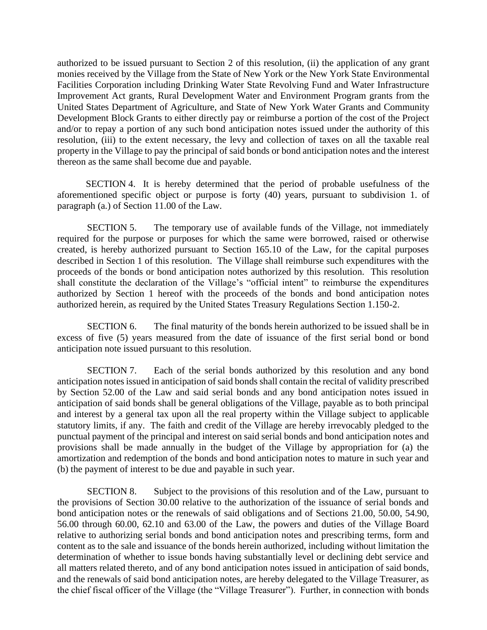authorized to be issued pursuant to Section 2 of this resolution, (ii) the application of any grant monies received by the Village from the State of New York or the New York State Environmental Facilities Corporation including Drinking Water State Revolving Fund and Water Infrastructure Improvement Act grants, Rural Development Water and Environment Program grants from the United States Department of Agriculture, and State of New York Water Grants and Community Development Block Grants to either directly pay or reimburse a portion of the cost of the Project and/or to repay a portion of any such bond anticipation notes issued under the authority of this resolution, (iii) to the extent necessary, the levy and collection of taxes on all the taxable real property in the Village to pay the principal of said bonds or bond anticipation notes and the interest thereon as the same shall become due and payable.

SECTION 4. It is hereby determined that the period of probable usefulness of the aforementioned specific object or purpose is forty (40) years, pursuant to subdivision 1. of paragraph (a.) of Section 11.00 of the Law.

SECTION 5. The temporary use of available funds of the Village, not immediately required for the purpose or purposes for which the same were borrowed, raised or otherwise created, is hereby authorized pursuant to Section 165.10 of the Law, for the capital purposes described in Section 1 of this resolution. The Village shall reimburse such expenditures with the proceeds of the bonds or bond anticipation notes authorized by this resolution. This resolution shall constitute the declaration of the Village's "official intent" to reimburse the expenditures authorized by Section 1 hereof with the proceeds of the bonds and bond anticipation notes authorized herein, as required by the United States Treasury Regulations Section 1.150-2.

SECTION 6. The final maturity of the bonds herein authorized to be issued shall be in excess of five (5) years measured from the date of issuance of the first serial bond or bond anticipation note issued pursuant to this resolution.

SECTION 7. Each of the serial bonds authorized by this resolution and any bond anticipation notes issued in anticipation of said bonds shall contain the recital of validity prescribed by Section 52.00 of the Law and said serial bonds and any bond anticipation notes issued in anticipation of said bonds shall be general obligations of the Village, payable as to both principal and interest by a general tax upon all the real property within the Village subject to applicable statutory limits, if any. The faith and credit of the Village are hereby irrevocably pledged to the punctual payment of the principal and interest on said serial bonds and bond anticipation notes and provisions shall be made annually in the budget of the Village by appropriation for (a) the amortization and redemption of the bonds and bond anticipation notes to mature in such year and (b) the payment of interest to be due and payable in such year.

SECTION 8. Subject to the provisions of this resolution and of the Law, pursuant to the provisions of Section 30.00 relative to the authorization of the issuance of serial bonds and bond anticipation notes or the renewals of said obligations and of Sections 21.00, 50.00, 54.90, 56.00 through 60.00, 62.10 and 63.00 of the Law, the powers and duties of the Village Board relative to authorizing serial bonds and bond anticipation notes and prescribing terms, form and content as to the sale and issuance of the bonds herein authorized, including without limitation the determination of whether to issue bonds having substantially level or declining debt service and all matters related thereto, and of any bond anticipation notes issued in anticipation of said bonds, and the renewals of said bond anticipation notes, are hereby delegated to the Village Treasurer, as the chief fiscal officer of the Village (the "Village Treasurer"). Further, in connection with bonds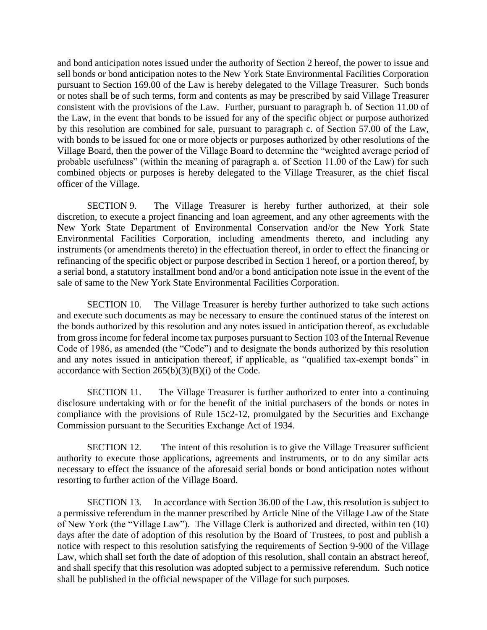and bond anticipation notes issued under the authority of Section 2 hereof, the power to issue and sell bonds or bond anticipation notes to the New York State Environmental Facilities Corporation pursuant to Section 169.00 of the Law is hereby delegated to the Village Treasurer. Such bonds or notes shall be of such terms, form and contents as may be prescribed by said Village Treasurer consistent with the provisions of the Law. Further, pursuant to paragraph b. of Section 11.00 of the Law, in the event that bonds to be issued for any of the specific object or purpose authorized by this resolution are combined for sale, pursuant to paragraph c. of Section 57.00 of the Law, with bonds to be issued for one or more objects or purposes authorized by other resolutions of the Village Board, then the power of the Village Board to determine the "weighted average period of probable usefulness" (within the meaning of paragraph a. of Section 11.00 of the Law) for such combined objects or purposes is hereby delegated to the Village Treasurer, as the chief fiscal officer of the Village.

SECTION 9. The Village Treasurer is hereby further authorized, at their sole discretion, to execute a project financing and loan agreement, and any other agreements with the New York State Department of Environmental Conservation and/or the New York State Environmental Facilities Corporation, including amendments thereto, and including any instruments (or amendments thereto) in the effectuation thereof, in order to effect the financing or refinancing of the specific object or purpose described in Section 1 hereof, or a portion thereof, by a serial bond, a statutory installment bond and/or a bond anticipation note issue in the event of the sale of same to the New York State Environmental Facilities Corporation.

SECTION 10. The Village Treasurer is hereby further authorized to take such actions and execute such documents as may be necessary to ensure the continued status of the interest on the bonds authorized by this resolution and any notes issued in anticipation thereof, as excludable from gross income for federal income tax purposes pursuant to Section 103 of the Internal Revenue Code of 1986, as amended (the "Code") and to designate the bonds authorized by this resolution and any notes issued in anticipation thereof, if applicable, as "qualified tax-exempt bonds" in accordance with Section  $265(b)(3)(B)(i)$  of the Code.

SECTION 11. The Village Treasurer is further authorized to enter into a continuing disclosure undertaking with or for the benefit of the initial purchasers of the bonds or notes in compliance with the provisions of Rule 15c2-12, promulgated by the Securities and Exchange Commission pursuant to the Securities Exchange Act of 1934.

SECTION 12. The intent of this resolution is to give the Village Treasurer sufficient authority to execute those applications, agreements and instruments, or to do any similar acts necessary to effect the issuance of the aforesaid serial bonds or bond anticipation notes without resorting to further action of the Village Board.

SECTION 13. In accordance with Section 36.00 of the Law, this resolution is subject to a permissive referendum in the manner prescribed by Article Nine of the Village Law of the State of New York (the "Village Law"). The Village Clerk is authorized and directed, within ten (10) days after the date of adoption of this resolution by the Board of Trustees, to post and publish a notice with respect to this resolution satisfying the requirements of Section 9-900 of the Village Law, which shall set forth the date of adoption of this resolution, shall contain an abstract hereof, and shall specify that this resolution was adopted subject to a permissive referendum. Such notice shall be published in the official newspaper of the Village for such purposes.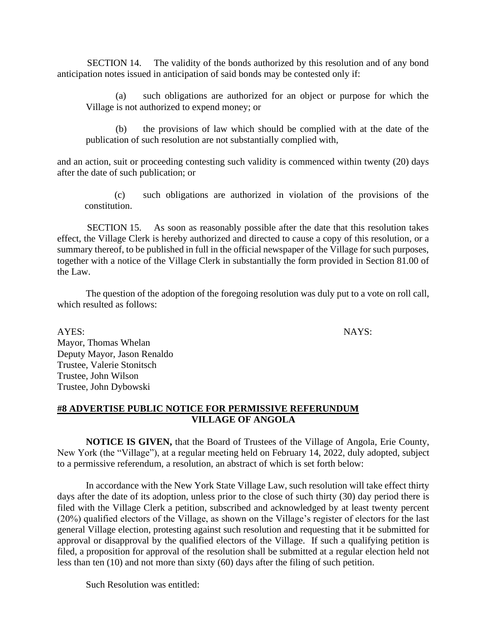SECTION 14. The validity of the bonds authorized by this resolution and of any bond anticipation notes issued in anticipation of said bonds may be contested only if:

(a) such obligations are authorized for an object or purpose for which the Village is not authorized to expend money; or

(b) the provisions of law which should be complied with at the date of the publication of such resolution are not substantially complied with,

and an action, suit or proceeding contesting such validity is commenced within twenty (20) days after the date of such publication; or

(c) such obligations are authorized in violation of the provisions of the constitution.

SECTION 15. As soon as reasonably possible after the date that this resolution takes effect, the Village Clerk is hereby authorized and directed to cause a copy of this resolution, or a summary thereof, to be published in full in the official newspaper of the Village for such purposes, together with a notice of the Village Clerk in substantially the form provided in Section 81.00 of the Law.

The question of the adoption of the foregoing resolution was duly put to a vote on roll call, which resulted as follows:

AYES: NAYS: Mayor, Thomas Whelan Deputy Mayor, Jason Renaldo Trustee, Valerie Stonitsch Trustee, John Wilson Trustee, John Dybowski

### **#8 ADVERTISE PUBLIC NOTICE FOR PERMISSIVE REFERUNDUM VILLAGE OF ANGOLA**

**NOTICE IS GIVEN,** that the Board of Trustees of the Village of Angola, Erie County, New York (the "Village"), at a regular meeting held on February 14, 2022, duly adopted, subject to a permissive referendum, a resolution, an abstract of which is set forth below:

In accordance with the New York State Village Law, such resolution will take effect thirty days after the date of its adoption, unless prior to the close of such thirty (30) day period there is filed with the Village Clerk a petition, subscribed and acknowledged by at least twenty percent (20%) qualified electors of the Village, as shown on the Village's register of electors for the last general Village election, protesting against such resolution and requesting that it be submitted for approval or disapproval by the qualified electors of the Village. If such a qualifying petition is filed, a proposition for approval of the resolution shall be submitted at a regular election held not less than ten (10) and not more than sixty (60) days after the filing of such petition.

Such Resolution was entitled: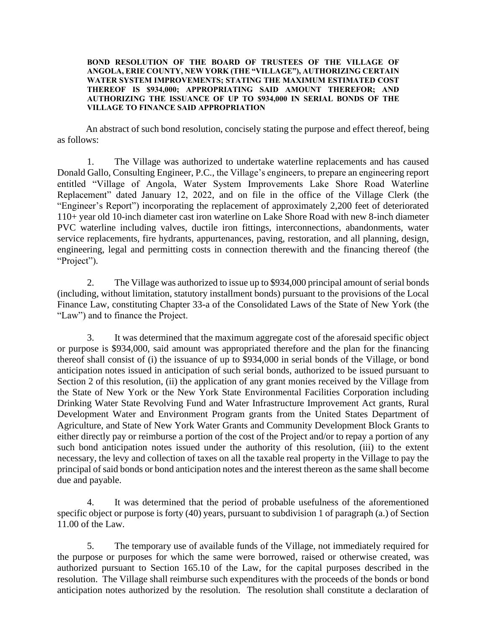#### **BOND RESOLUTION OF THE BOARD OF TRUSTEES OF THE VILLAGE OF ANGOLA, ERIE COUNTY, NEW YORK (THE "VILLAGE"), AUTHORIZING CERTAIN WATER SYSTEM IMPROVEMENTS; STATING THE MAXIMUM ESTIMATED COST THEREOF IS \$934,000; APPROPRIATING SAID AMOUNT THEREFOR; AND AUTHORIZING THE ISSUANCE OF UP TO \$934,000 IN SERIAL BONDS OF THE VILLAGE TO FINANCE SAID APPROPRIATION**

An abstract of such bond resolution, concisely stating the purpose and effect thereof, being as follows:

1. The Village was authorized to undertake waterline replacements and has caused Donald Gallo, Consulting Engineer, P.C., the Village's engineers, to prepare an engineering report entitled "Village of Angola, Water System Improvements Lake Shore Road Waterline Replacement" dated January 12, 2022, and on file in the office of the Village Clerk (the "Engineer's Report") incorporating the replacement of approximately 2,200 feet of deteriorated 110+ year old 10-inch diameter cast iron waterline on Lake Shore Road with new 8-inch diameter PVC waterline including valves, ductile iron fittings, interconnections, abandonments, water service replacements, fire hydrants, appurtenances, paving, restoration, and all planning, design, engineering, legal and permitting costs in connection therewith and the financing thereof (the "Project").

2. The Village was authorized to issue up to \$934,000 principal amount of serial bonds (including, without limitation, statutory installment bonds) pursuant to the provisions of the Local Finance Law, constituting Chapter 33-a of the Consolidated Laws of the State of New York (the "Law") and to finance the Project.

3. It was determined that the maximum aggregate cost of the aforesaid specific object or purpose is \$934,000, said amount was appropriated therefore and the plan for the financing thereof shall consist of (i) the issuance of up to \$934,000 in serial bonds of the Village, or bond anticipation notes issued in anticipation of such serial bonds, authorized to be issued pursuant to Section 2 of this resolution, (ii) the application of any grant monies received by the Village from the State of New York or the New York State Environmental Facilities Corporation including Drinking Water State Revolving Fund and Water Infrastructure Improvement Act grants, Rural Development Water and Environment Program grants from the United States Department of Agriculture, and State of New York Water Grants and Community Development Block Grants to either directly pay or reimburse a portion of the cost of the Project and/or to repay a portion of any such bond anticipation notes issued under the authority of this resolution, (iii) to the extent necessary, the levy and collection of taxes on all the taxable real property in the Village to pay the principal of said bonds or bond anticipation notes and the interest thereon as the same shall become due and payable.

4. It was determined that the period of probable usefulness of the aforementioned specific object or purpose is forty (40) years, pursuant to subdivision 1 of paragraph (a.) of Section 11.00 of the Law.

5. The temporary use of available funds of the Village, not immediately required for the purpose or purposes for which the same were borrowed, raised or otherwise created, was authorized pursuant to Section 165.10 of the Law, for the capital purposes described in the resolution. The Village shall reimburse such expenditures with the proceeds of the bonds or bond anticipation notes authorized by the resolution. The resolution shall constitute a declaration of